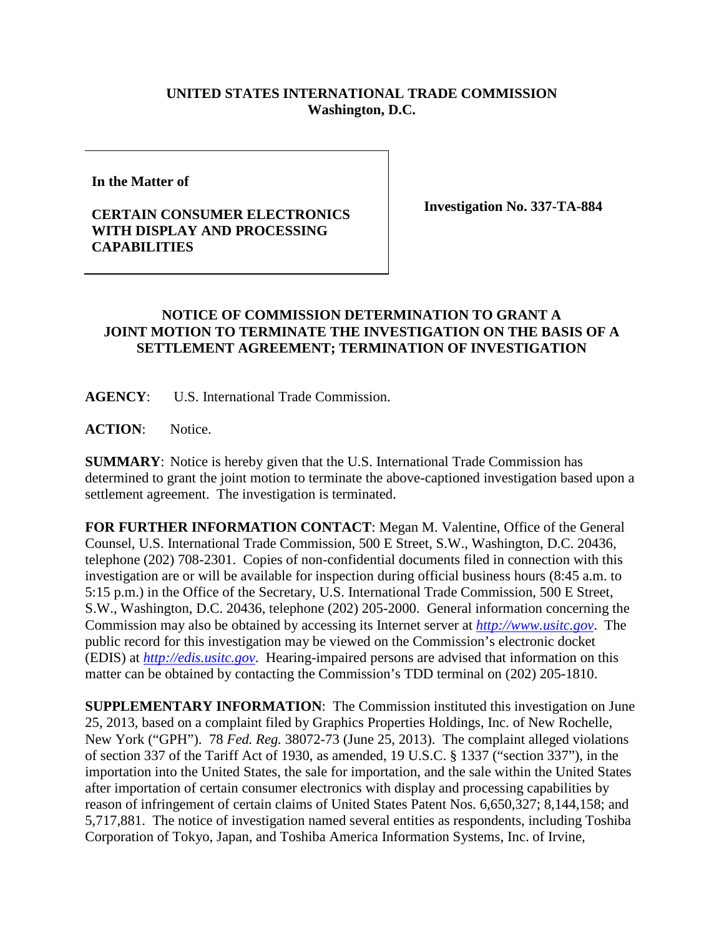## **UNITED STATES INTERNATIONAL TRADE COMMISSION Washington, D.C.**

**In the Matter of** 

## **CERTAIN CONSUMER ELECTRONICS WITH DISPLAY AND PROCESSING CAPABILITIES**

**Investigation No. 337-TA-884**

## **NOTICE OF COMMISSION DETERMINATION TO GRANT A JOINT MOTION TO TERMINATE THE INVESTIGATION ON THE BASIS OF A SETTLEMENT AGREEMENT; TERMINATION OF INVESTIGATION**

**AGENCY**: U.S. International Trade Commission.

ACTION: Notice.

**SUMMARY**: Notice is hereby given that the U.S. International Trade Commission has determined to grant the joint motion to terminate the above-captioned investigation based upon a settlement agreement. The investigation is terminated.

**FOR FURTHER INFORMATION CONTACT**: Megan M. Valentine, Office of the General Counsel, U.S. International Trade Commission, 500 E Street, S.W., Washington, D.C. 20436, telephone (202) 708-2301. Copies of non-confidential documents filed in connection with this investigation are or will be available for inspection during official business hours (8:45 a.m. to 5:15 p.m.) in the Office of the Secretary, U.S. International Trade Commission, 500 E Street, S.W., Washington, D.C. 20436, telephone (202) 205-2000. General information concerning the Commission may also be obtained by accessing its Internet server at *[http://www.usitc.gov](http://www.usitc.gov/)*. The public record for this investigation may be viewed on the Commission's electronic docket (EDIS) at *[http://edis.usitc.gov](http://edis.usitc.gov/)*. Hearing-impaired persons are advised that information on this matter can be obtained by contacting the Commission's TDD terminal on (202) 205-1810.

**SUPPLEMENTARY INFORMATION**: The Commission instituted this investigation on June 25, 2013, based on a complaint filed by Graphics Properties Holdings, Inc. of New Rochelle, New York ("GPH"). 78 *Fed. Reg.* 38072-73 (June 25, 2013). The complaint alleged violations of section 337 of the Tariff Act of 1930, as amended, 19 U.S.C. § 1337 ("section 337"), in the importation into the United States, the sale for importation, and the sale within the United States after importation of certain consumer electronics with display and processing capabilities by reason of infringement of certain claims of United States Patent Nos. 6,650,327; 8,144,158; and 5,717,881. The notice of investigation named several entities as respondents, including Toshiba Corporation of Tokyo, Japan, and Toshiba America Information Systems, Inc. of Irvine,